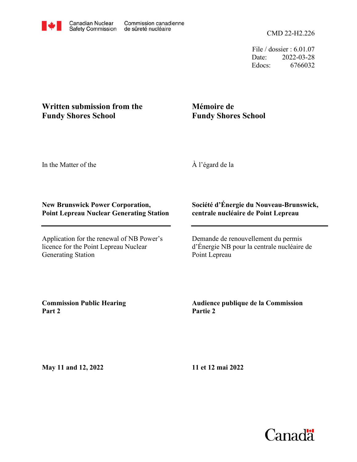File / dossier : 6.01.07 Date: 2022-03-28 Edocs: 6766032

## **Fundy Shores School Written submission from the**

# **Mémoire de Fundy Shores School**

In the Matter of the

À l'égard de la

#### **New Brunswick Power Corporation, Point Lepreau Nuclear Generating Station**

Application for the renewal of NB Power's licence for the Point Lepreau Nuclear Generating Station

#### **Société d'Énergie du Nouveau-Brunswick, centrale nucléaire de Point Lepreau**

Demande de renouvellement du permis d'Énergie NB pour la centrale nucléaire de Point Lepreau

**Commission Public Hearing Part 2**

#### **Audience publique de la Commission Partie 2**

**May 11 and 12, 2022**

**11 et 12 mai 2022**

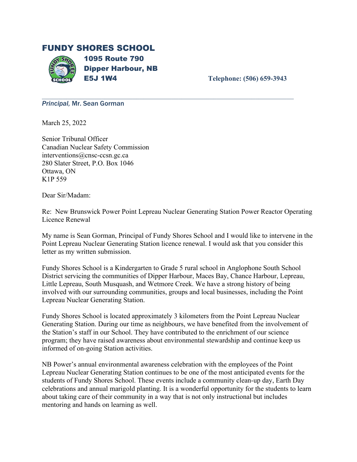### FUNDY SHORES SCHOOL



 1095 Route 790 Dipper Harbour, NB E5J 1W4 **Telephone: (506) 659-3943**

*Principal,* Mr. Sean Gorman

March 25, 2022

Senior Tribunal Officer Canadian Nuclear Safety Commission interventions@cnsc-ccsn.gc.ca 280 Slater Street, P.O. Box 1046 Ottawa, ON K1P 559

Dear Sir/Madam:

Re: New Brunswick Power Point Lepreau Nuclear Generating Station Power Reactor Operating Licence Renewal

 $\mathcal{L}_\mathcal{L}$  , and the contribution of the contribution of the contribution of the contribution of the contribution of the contribution of the contribution of the contribution of the contribution of the contribution of

My name is Sean Gorman, Principal of Fundy Shores School and I would like to intervene in the Point Lepreau Nuclear Generating Station licence renewal. I would ask that you consider this letter as my written submission.

Fundy Shores School is a Kindergarten to Grade 5 rural school in Anglophone South School District servicing the communities of Dipper Harbour, Maces Bay, Chance Harbour, Lepreau, Little Lepreau, South Musquash, and Wetmore Creek. We have a strong history of being involved with our surrounding communities, groups and local businesses, including the Point Lepreau Nuclear Generating Station.

Fundy Shores School is located approximately 3 kilometers from the Point Lepreau Nuclear Generating Station. During our time as neighbours, we have benefited from the involvement of the Station's staff in our School. They have contributed to the enrichment of our science program; they have raised awareness about environmental stewardship and continue keep us informed of on-going Station activities.

NB Power's annual environmental awareness celebration with the employees of the Point Lepreau Nuclear Generating Station continues to be one of the most anticipated events for the students of Fundy Shores School. These events include a community clean-up day, Earth Day celebrations and annual marigold planting. It is a wonderful opportunity for the students to learn about taking care of their community in a way that is not only instructional but includes mentoring and hands on learning as well.